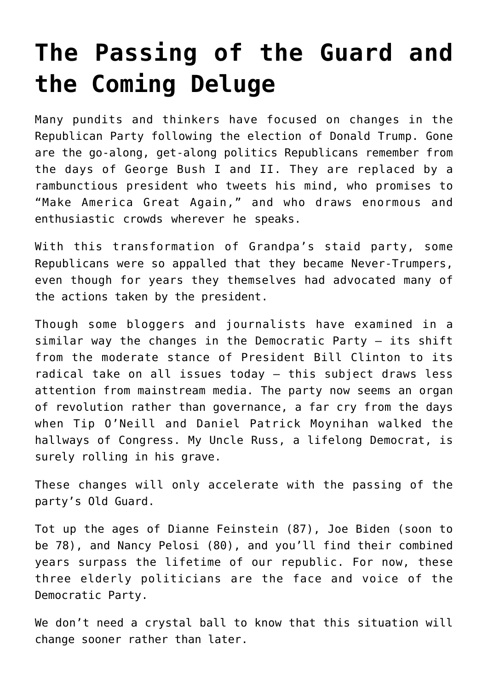## **[The Passing of the Guard and](https://intellectualtakeout.org/2020/09/the-passing-of-the-guard-and-the-coming-deluge/) [the Coming Deluge](https://intellectualtakeout.org/2020/09/the-passing-of-the-guard-and-the-coming-deluge/)**

Many pundits and thinkers have focused on changes in the Republican Party following the election of Donald Trump. Gone are the go-along, get-along politics Republicans remember from the days of George Bush I and II. They are replaced by a rambunctious president who tweets his mind, who promises to "Make America Great Again," and who draws enormous and enthusiastic crowds wherever he speaks.

With this transformation of Grandpa's staid party, some Republicans were so appalled that they became Never-Trumpers, even though for years they themselves had advocated many of the actions taken by the president.

Though some bloggers and journalists have examined in a similar way the changes in the Democratic Party – its shift from the moderate stance of President Bill Clinton to its radical take on all issues today – this subject draws less attention from mainstream media. The party now seems an organ of revolution rather than governance, a far cry from the days when Tip O'Neill and Daniel Patrick Moynihan walked the hallways of Congress. My Uncle Russ, a lifelong Democrat, is surely rolling in his grave.

These changes will only accelerate with the passing of the party's Old Guard.

Tot up the ages of Dianne Feinstein (87), Joe Biden (soon to be 78), and Nancy Pelosi (80), and you'll find their combined years surpass the lifetime of our republic. For now, these three elderly politicians are the face and voice of the Democratic Party.

We don't need a crystal ball to know that this situation will change sooner rather than later.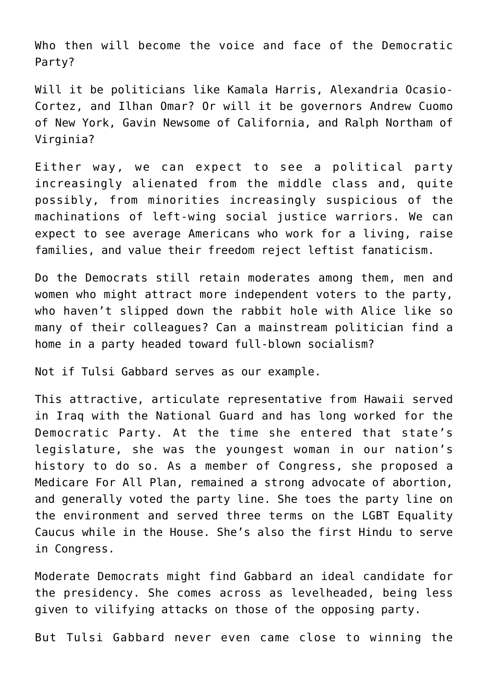Who then will become the voice and face of the Democratic Party?

Will it be politicians like Kamala Harris, Alexandria Ocasio-Cortez, and Ilhan Omar? Or will it be governors Andrew Cuomo of New York, Gavin Newsome of California, and Ralph Northam of Virginia?

Either way, we can expect to see a political party increasingly alienated from the middle class and, quite possibly, from minorities increasingly suspicious of the machinations of left-wing social justice warriors. We can expect to see average Americans who work for a living, raise families, and value their freedom reject leftist fanaticism.

Do the Democrats still retain moderates among them, men and women who might attract more independent voters to the party, who haven't slipped down the rabbit hole with Alice like so many of their colleagues? Can a mainstream politician find a home in a party headed toward full-blown socialism?

Not if Tulsi Gabbard serves as our example.

This attractive, articulate representative from Hawaii served in Iraq with the National Guard and has long worked for the Democratic Party. At the time she entered that state's legislature, she was the youngest woman in our nation's history to do so. As a member of Congress, she proposed a Medicare For All Plan, remained a strong advocate of abortion, and generally voted the party line. She toes the party line on the environment and served three terms on the LGBT Equality Caucus while in the House. She's also the first Hindu to serve in Congress.

Moderate Democrats might find Gabbard an ideal candidate for the presidency. She comes across as levelheaded, being less given to vilifying attacks on those of the opposing party.

But Tulsi Gabbard never even came close to winning the